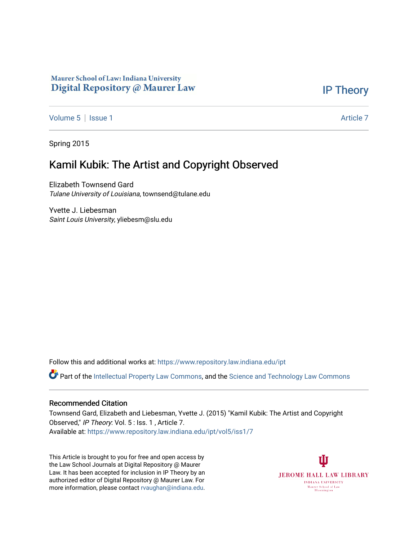## Maurer School of Law: Indiana University Digital Repository @ Maurer Law

# [IP Theory](https://www.repository.law.indiana.edu/ipt)

[Volume 5](https://www.repository.law.indiana.edu/ipt/vol5) | [Issue 1](https://www.repository.law.indiana.edu/ipt/vol5/iss1) Article 7

Spring 2015

# Kamil Kubik: The Artist and Copyright Observed

Elizabeth Townsend Gard Tulane University of Louisiana, townsend@tulane.edu

Yvette J. Liebesman Saint Louis University, yliebesm@slu.edu

Follow this and additional works at: [https://www.repository.law.indiana.edu/ipt](https://www.repository.law.indiana.edu/ipt?utm_source=www.repository.law.indiana.edu%2Fipt%2Fvol5%2Fiss1%2F7&utm_medium=PDF&utm_campaign=PDFCoverPages) 

**C** Part of the [Intellectual Property Law Commons,](http://network.bepress.com/hgg/discipline/896?utm_source=www.repository.law.indiana.edu%2Fipt%2Fvol5%2Fiss1%2F7&utm_medium=PDF&utm_campaign=PDFCoverPages) and the Science and Technology Law Commons

#### Recommended Citation

Townsend Gard, Elizabeth and Liebesman, Yvette J. (2015) "Kamil Kubik: The Artist and Copyright Observed," IP Theory: Vol. 5 : Iss. 1 , Article 7. Available at: [https://www.repository.law.indiana.edu/ipt/vol5/iss1/7](https://www.repository.law.indiana.edu/ipt/vol5/iss1/7?utm_source=www.repository.law.indiana.edu%2Fipt%2Fvol5%2Fiss1%2F7&utm_medium=PDF&utm_campaign=PDFCoverPages) 

This Article is brought to you for free and open access by the Law School Journals at Digital Repository @ Maurer Law. It has been accepted for inclusion in IP Theory by an authorized editor of Digital Repository @ Maurer Law. For more information, please contact [rvaughan@indiana.edu](mailto:rvaughan@indiana.edu).

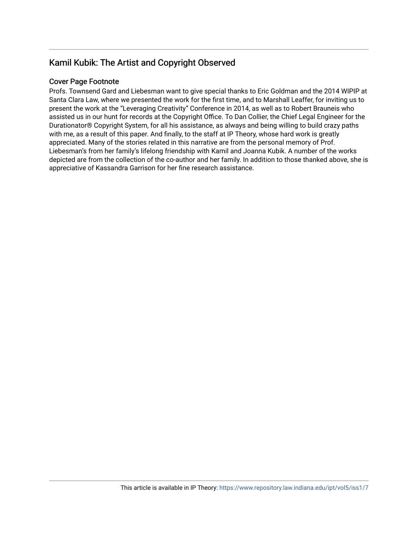# Kamil Kubik: The Artist and Copyright Observed

## Cover Page Footnote

Profs. Townsend Gard and Liebesman want to give special thanks to Eric Goldman and the 2014 WIPIP at Santa Clara Law, where we presented the work for the first time, and to Marshall Leaffer, for inviting us to present the work at the "Leveraging Creativity" Conference in 2014, as well as to Robert Brauneis who assisted us in our hunt for records at the Copyright Office. To Dan Collier, the Chief Legal Engineer for the Durationator® Copyright System, for all his assistance, as always and being willing to build crazy paths with me, as a result of this paper. And finally, to the staff at IP Theory, whose hard work is greatly appreciated. Many of the stories related in this narrative are from the personal memory of Prof. Liebesman's from her family's lifelong friendship with Kamil and Joanna Kubik. A number of the works depicted are from the collection of the co-author and her family. In addition to those thanked above, she is appreciative of Kassandra Garrison for her fine research assistance.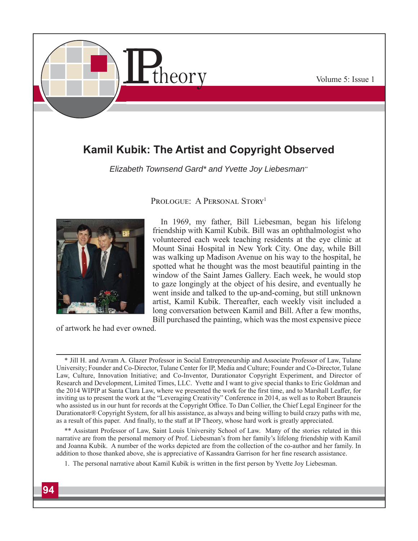

# **Kamil Kubik: The Artist and Copyright Observed**

*Elizabeth Townsend Gard\* and Yvette Joy Liebesman\*\**



PROLOGUE: A PERSONAL STORY<sup>1</sup>

**In 1969, my father, Bill Liebesman, began his lifelong friendship with Kamil Kubik. Bill was an ophthalmologist who volunteered each week teaching residents at the eye clinic at Mount Sinai Hospital in New York City. One day, while Bill was walking up Madison Avenue on his way to the hospital, he spotted what he thought was the most beautiful painting in the window of the Saint James Gallery. Each week, he would stop to gaze longingly at the object of his desire, and eventually he went inside and talked to the up-and-coming, but still unknown artist, Kamil Kubik. Thereafter, each weekly visit included a long conversation between Kamil and Bill. After a few months, Bill purchased the painting, which was the most expensive piece**

**of artwork he had ever owned.** 

**\*\* Assistant Professor of Law, Saint Louis University School of Law. Many of the stories related in this narrative are from the personal memory of Prof. Liebesman's from her family's lifelong friendship with Kamil and Joanna Kubik. A number of the works depicted are from the collection of the co-author and her family. In**  addition to those thanked above, she is appreciative of Kassandra Garrison for her fine research assistance.

1. The personal narrative about Kamil Kubik is written in the first person by Yvette Joy Liebesman.

**<sup>\*</sup> Jill H. and Avram A. Glazer Professor in Social Entrepreneurship and Associate Professor of Law, Tulane University; Founder and Co-Director, Tulane Center for IP, Media and Culture; Founder and Co-Director, Tulane Law, Culture, Innovation Initiative; and Co-Inventor, Durationator Copyright Experiment, and Director of Research and Development, Limited Times, LLC. Yvette and I want to give special thanks to Eric Goldman and**  the 2014 WIPIP at Santa Clara Law, where we presented the work for the first time, and to Marshall Leaffer, for **inviting us to present the work at the "Leveraging Creativity" Conference in 2014, as well as to Robert Brauneis**  who assisted us in our hunt for records at the Copyright Office. To Dan Collier, the Chief Legal Engineer for the **Durationator® Copyright System, for all his assistance, as always and being willing to build crazy paths with me,**  as a result of this paper. And finally, to the staff at IP Theory, whose hard work is greatly appreciated.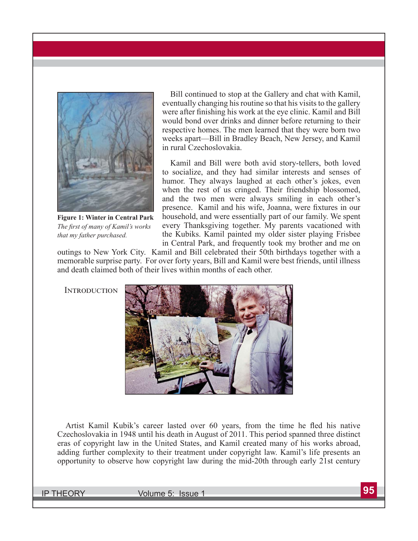

**Figure 1: Winter in Central Park** *The fi rst of many of Kamil's works that my father purchased.*

**Bill continued to stop at the Gallery and chat with Kamil, eventually changing his routine so that his visits to the gallery**  were after finishing his work at the eye clinic. Kamil and Bill **would bond over drinks and dinner before returning to their respective homes. The men learned that they were born two weeks apart—Bill in Bradley Beach, New Jersey, and Kamil in rural Czechoslovakia.** 

**Kamil and Bill were both avid story-tellers, both loved to socialize, and they had similar interests and senses of humor. They always laughed at each other's jokes, even when the rest of us cringed. Their friendship blossomed, and the two men were always smiling in each other's**  presence. Kamil and his wife, Joanna, were fixtures in our **household, and were essentially part of our family. We spent every Thanksgiving together. My parents vacationed with the Kubiks. Kamil painted my older sister playing Frisbee in Central Park, and frequently took my brother and me on** 

**outings to New York City. Kamil and Bill celebrated their 50th birthdays together with a memorable surprise party. For over forty years, Bill and Kamil were best friends, until illness and death claimed both of their lives within months of each other.** 

**INTRODUCTION** 



Artist Kamil Kubik's career lasted over 60 years, from the time he fled his native **Czechoslovakia in 1948 until his death in August of 2011. This period spanned three distinct eras of copyright law in the United States, and Kamil created many of his works abroad, adding further complexity to their treatment under copyright law. Kamil's life presents an opportunity to observe how copyright law during the mid-20th through early 21st century**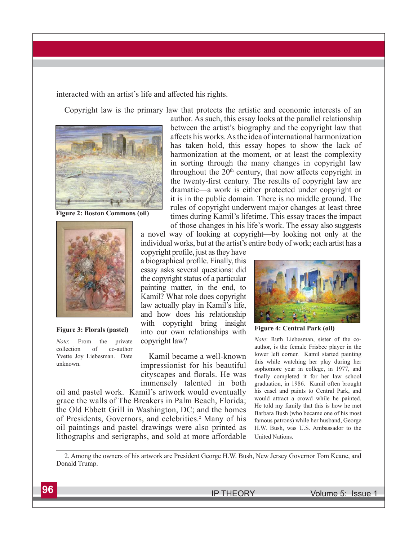interacted with an artist's life and affected his rights.

**Copyright law is the primary law that protects the artistic and economic interests of an** 



**Figure 2: Boston Commons (oil)**



#### **Figure 3: Florals (pastel)**

*Note***: From the private collection of co-author Yvette Joy Liebesman. Date unknown.**

**author. As such, this essay looks at the parallel relationship between the artist's biography and the copyright law that aff ects his works. As the idea of international harmonization has taken hold, this essay hopes to show the lack of harmonization at the moment, or at least the complexity in sorting through the many changes in copyright law**  throughout the 20<sup>th</sup> century, that now affects copyright in the twenty-first century. The results of copyright law are **dramatic—a work is either protected under copyright or it is in the public domain. There is no middle ground. The rules of copyright underwent major changes at least three times during Kamil's lifetime. This essay traces the impact** 

**of those changes in his life's work. The essay also suggests a novel way of looking at copyright—by looking not only at the individual works, but at the artist's entire body of work; each artist has a** 

copyright profile, just as they have **a biographical profi le. Finally, this essay asks several questions: did the copyright status of a particular painting matter, in the end, to Kamil? What role does copyright law actually play in Kamil's life, and how does his relationship with copyright bring insight into our own relationships with copyright law?**

**Kamil became a well-known impressionist for his beautiful**  cityscapes and florals. He was **immensely talented in both** 

**oil and pastel work. Kamil's artwork would eventually grace the walls of The Breakers in Palm Beach, Florida; the Old Ebbett Grill in Washington, DC; and the homes of Presidents, Governors, and celebrities.2 Many of his oil paintings and pastel drawings were also printed as**  lithographs and serigraphs, and sold at more affordable



**Figure 4: Central Park (oil)**

*Note***: Ruth Liebesman, sister of the coauthor, is the female Frisbee player in the lower left corner. Kamil started painting this while watching her play during her sophomore year in college, in 1977, and**  finally completed it for her law school **graduation, in 1986. Kamil often brought his easel and paints to Central Park, and would attract a crowd while he painted. He told my family that this is how he met Barbara Bush (who became one of his most famous patrons) while her husband, George H.W. Bush, was U.S. Ambassador to the United Nations.**

**2. Among the owners of his artwork are President George H.W. Bush, New Jersey Governor Tom Keane, and Donald Trump.**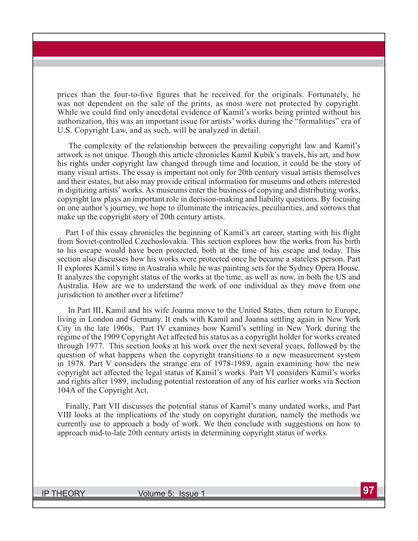prices than the four-to-five figures that he received for the originals. Fortunately, he **was not dependent on the sale of the prints, as most were not protected by copyright.**  While we could find only anecdotal evidence of Kamil's works being printed without his **authorization, this was an important issue for artists' works during the "formalities" era of U.S. Copyright Law, and as such, will be analyzed in detail.** 

**The complexity of the relationship between the prevailing copyright law and Kamil's artwork is not unique. Though this article chronicles Kamil Kubik's travels, his art, and how his rights under copyright law changed through time and location, it could be the story of many visual artists. The essay is important not only for 20th century visual artists themselves and their estates, but also may provide critical information for museums and others interested in digitizing artists' works. As museums enter the business of copying and distributing works, copyright law plays an important role in decision-making and liability questions. By focusing on one author's journey, we hope to illuminate the intricacies, peculiarities, and sorrows that make up the copyright story of 20th century artists.** 

Part I of this essay chronicles the beginning of Kamil's art career, starting with his flight **from Soviet-controlled Czechoslovakia. This section explores how the works from his birth to his escape would have been protected, both at the time of his escape and today. This section also discusses how his works were protected once he became a stateless person. Part II explores Kamil's time in Australia while he was painting sets for the Sydney Opera House. It analyzes the copyright status of the works at the time, as well as now, in both the US and Australia. How are we to understand the work of one individual as they move from one jurisdiction to another over a lifetime?**

 **In Part III, Kamil and his wife Joanna move to the United States, then return to Europe, living in London and Germany. It ends with Kamil and Joanna settling again in New York City in the late 1960s. Part IV examines how Kamil's settling in New York during the**  regime of the 1909 Copyright Act affected his status as a copyright holder for works created **through 1977. This section looks at his work over the next several years, followed by the question of what happens when the copyright transitions to a new measurement system in 1978. Part V considers the strange era of 1978-1989, again examining how the new**  copyright act affected the legal status of Kamil's works. Part VI considers Kamil's works **and rights after 1989, including potential restoration of any of his earlier works via Section 104A of the Copyright Act.** 

**Finally, Part VII discusses the potential status of Kamil's many undated works, and Part VIII looks at the implications of the study on copyright duration, namely the methods we currently use to approach a body of work. We then conclude with suggestions on how to approach mid-to-late 20th century artists in determining copyright status of works.**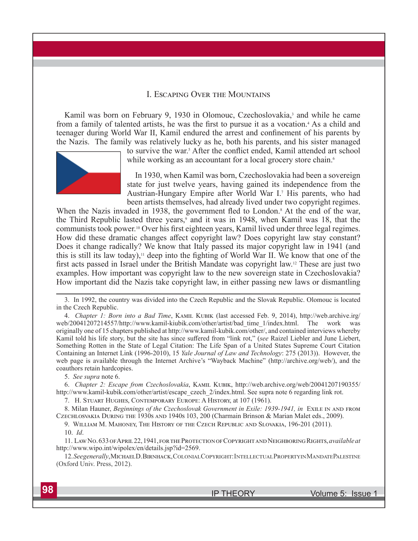#### **I. ESCAPING OVER THE MOUNTAINS**

Kamil was born on February 9, 1930 in Olomouc, Czechoslovakia,<sup>3</sup> and while he came from a family of talented artists, he was the first to pursue it as a vocation.<sup>4</sup> As a child and teenager during World War II, Kamil endured the arrest and confinement of his parents by **the Nazis. The family was relatively lucky as he, both his parents, and his sister managed** 



to survive the war.<sup>5</sup> After the conflict ended, Kamil attended art school while working as an accountant for a local grocery store chain.<sup>6</sup>

**In 1930, when Kamil was born, Czechoslovakia had been a sovereign state for just twelve years, having gained its independence from the**  Austrian-Hungary Empire after World War I.<sup>7</sup> His parents, who had **been artists themselves, had already lived under two copyright regimes.** 

When the Nazis invaded in 1938, the government fled to London.<sup>8</sup> At the end of the war, the Third Republic lasted three years,<sup>9</sup> and it was in 1948, when Kamil was 18, that the communists took power.<sup>10</sup> Over his first eighteen years, Kamil lived under three legal regimes. How did these dramatic changes affect copyright law? Does copyright law stay constant? **Does it change radically? We know that Italy passed its major copyright law in 1941 (and**  this is still its law today),<sup>11</sup> deep into the fighting of World War II. We know that one of the first acts passed in Israel under the British Mandate was copyright law.<sup>12</sup> These are just two **examples. How important was copyright law to the new sovereign state in Czechoslovakia? How important did the Nazis take copyright law, in either passing new laws or dismantling** 

4. *Chapter 1: Born into a Bad Time*, KAMIL KUBIK (last accessed Feb. 9, 2014), http://web.archive.irg/ **web/20041207214557/http://www.kamil-kiubik.com/other/artist/bad\_time\_1/index.html. The work was originally one of 15 chapters published at http://www.kamil-kubik.com/other/, and contained interviews whereby**  Kamil told his life story, but the site has since suffered from "link rot," (see Raizel Liebler and June Liebert, **Something Rotten in the State of Legal Citation: The Life Span of a United States Supreme Court Citation Containing an Internet Link (1996-2010), 15** *Yale Journal of Law and Technology***: 275 (2013)). However, the web page is available through the Internet Archive's "Wayback Machine" (http://archive.org/web/), and the coauthors retain hardcopies.**

**5.** *See supra* **note 6.**

6. *Chapter 2: Escape from Czechoslovakia*, KAMIL KUBIK, http://web.archive.org/web/20041207190355/ **http://www.kamil-kubik.com/other/artist/escape\_czech\_2/index.html. See supra note 6 regarding link rot.**

7. H. STUART HUGHES, CONTEMPORARY EUROPE: A HISTORY, at 107 (1961).

8. Milan Hauner, *Beginnings of the Czechoslovak Government in Exile: 1939-1941, in EXILE IN AND FROM* CZECHLOSVAKIA DURING THE 1930s AND 1940s 103, 200 (Charmain Brinson & Marian Malet eds., 2009).

9. WILLIAM M. MAHONEY, THE HISTORY OF THE CZECH REPUBLIC AND SLOVAKIA, 196-201 (2011).

**10.** *Id***.**

11. LAW NO. 633 OF APRIL 22, 1941, FOR THE PROTECTION OF COPYRIGHT AND NEIGHBORING RIGHTS, *available at* **http://www.wipo.int/wipolex/en/details.jsp?id=2569.**

12. See generally, MichaelD. Birnhack, Colonial Copyright: Intellectual Property in Mandate Palestine **(Oxford Univ. Press, 2012).**

**<sup>3.</sup> In 1992, the country was divided into the Czech Republic and the Slovak Republic. Olomouc is located in the Czech Republic.**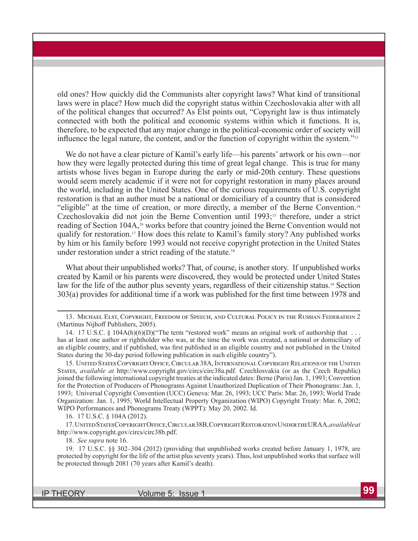**old ones? How quickly did the Communists alter copyright laws? What kind of transitional laws were in place? How much did the copyright status within Czechoslovakia alter with all of the political changes that occurred? As Elst points out, "Copyright law is thus intimately connected with both the political and economic systems within which it functions. It is, therefore, to be expected that any major change in the political-economic order of society will**  influence the legal nature, the content, and/or the function of copyright within the system."<sup>13</sup>

**We do not have a clear picture of Kamil's early life—his parents' artwork or his own—nor how they were legally protected during this time of great legal change. This is true for many artists whose lives began in Europe during the early or mid-20th century. These questions would seem merely academic if it were not for copyright restoration in many places around the world, including in the United States. One of the curious requirements of U.S. copyright restoration is that an author must be a national or domiciliary of a country that is considered "eligible" at the time of creation, or more directly, a member of the Berne Convention.14** Czechoslovakia did not join the Berne Convention until 1993;<sup>15</sup> therefore, under a strict reading of Section 104A,<sup>16</sup> works before that country joined the Berne Convention would not **qualify for restoration.17 How does this relate to Kamil's family story? Any published works by him or his family before 1993 would not receive copyright protection in the United States under restoration under a strict reading of the statute.18**

**What about their unpublished works? That, of course, is another story. If unpublished works created by Kamil or his parents were discovered, they would be protected under United States law for the life of the author plus seventy years, regardless of their citizenship status.19 Section 303(a) provides for additional time if a work was published for the first time between 1978 and** 

15. UNITED STATES COPYRIGHT OFFICE, CIRCULAR 38A, INTERNATIONAL COPYRIGHT RELATIONS OF THE UNITED STATES, *available at* http://www.copyright.gov/circs/circ38a.pdf. Czechlosvakia (or as the Czech Republic) **joined the following international copyright treaties at the indicated dates: Berne (Paris) Jan. 1, 1993; Convention for the Protection of Producers of Phonograms Against Unauthorized Duplication of Their Phonograms: Jan. 1, 1993; Universal Copyright Convention (UCC) Geneva: Mar. 26, 1993; UCC Paris: Mar. 26, 1993; World Trade Organization: Jan. 1, 1995; World Intellectual Property Organization (WIPO) Copyright Treaty: Mar. 6, 2002; WIPO Performances and Phonograms Treaty (WPPT): May 20, 2002. Id.**

**16. 17 U.S.C. § 104A (2012).**

17. UNITED STATES COPYRIGHT OFFICE, CIRCULAR<sup>38</sup>B, COPYRIGHT RESTORATION UNDER THE URAA, *available at* **http://www.copyright.gov/circs/circ38b.pdf.**

**18.** *See supra* **note 16.** 

**19. 17 U.S.C. §§ 302–304 (2012) (providing that unpublished works created before January 1, 1978, are protected by copyright for the life of the artist plus seventy years). Thus, lost unpublished works that surface will be protected through 2081 (70 years after Kamil's death).**

<sup>13.</sup> MICHAEL ELST, COPYRIGHT, FREEDOM OF SPEECH, AND CULTURAL POLICY IN THE RUSSIAN FEDERATION 2 **(Martinus Nijhoff Publishers, 2005).**

**<sup>14. 17</sup> U.S.C. § 104A(h)(6)(D)("The term "restored work" means an original work of authorship that . . .**  has at least one author or rightholder who was, at the time the work was created, a national or domiciliary of an eligible country, and if published, was first published in an eligible country and not published in the United **States during the 30-day period following publication in such eligible country").**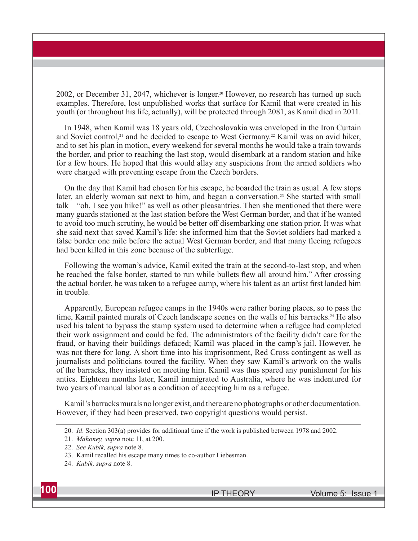**2002, or December 31, 2047, whichever is longer.20 However, no research has turned up such examples. Therefore, lost unpublished works that surface for Kamil that were created in his youth (or throughout his life, actually), will be protected through 2081, as Kamil died in 2011.** 

**In 1948, when Kamil was 18 years old, Czechoslovakia was enveloped in the Iron Curtain**  and Soviet control,<sup>21</sup> and he decided to escape to West Germany.<sup>22</sup> Kamil was an avid hiker, **and to set his plan in motion, every weekend for several months he would take a train towards the border, and prior to reaching the last stop, would disembark at a random station and hike for a few hours. He hoped that this would allay any suspicions from the armed soldiers who were charged with preventing escape from the Czech borders.**

**On the day that Kamil had chosen for his escape, he boarded the train as usual. A few stops later, an elderly woman sat next to him, and began a conversation.23 She started with small talk—"oh, I see you hike!" as well as other pleasantries. Then she mentioned that there were many guards stationed at the last station before the West German border, and that if he wanted to avoid too much scrutiny, he would be better off disembarking one station prior. It was what she said next that saved Kamil's life: she informed him that the Soviet soldiers had marked a**  false border one mile before the actual West German border, and that many fleeing refugees **had been killed in this zone because of the subterfuge.**

**Following the woman's advice, Kamil exited the train at the second-to-last stop, and when**  he reached the false border, started to run while bullets flew all around him." After crossing the actual border, he was taken to a refugee camp, where his talent as an artist first landed him **in trouble.** 

**Apparently, European refugee camps in the 1940s were rather boring places, so to pass the time, Kamil painted murals of Czech landscape scenes on the walls of his barracks.24 He also used his talent to bypass the stamp system used to determine when a refugee had completed their work assignment and could be fed. The administrators of the facility didn't care for the fraud, or having their buildings defaced; Kamil was placed in the camp's jail. However, he was not there for long. A short time into his imprisonment, Red Cross contingent as well as journalists and politicians toured the facility. When they saw Kamil's artwork on the walls of the barracks, they insisted on meeting him. Kamil was thus spared any punishment for his antics. Eighteen months later, Kamil immigrated to Australia, where he was indentured for two years of manual labor as a condition of accepting him as a refugee.**

**Kamil's barracks murals no longer exist, and there are no photographs or other documentation. However, if they had been preserved, two copyright questions would persist.** 

**<sup>20.</sup>** *Id***. Section 303(a) provides for additional time if the work is published between 1978 and 2002.**

**<sup>21.</sup>** *Mahoney, supra* **note 11, at 200.**

**<sup>22.</sup>** *See Kubik, supra* **note 8.**

**<sup>23.</sup> Kamil recalled his escape many times to co-author Liebesman.**

**<sup>24.</sup>** *Kubik, supra* **note 8.**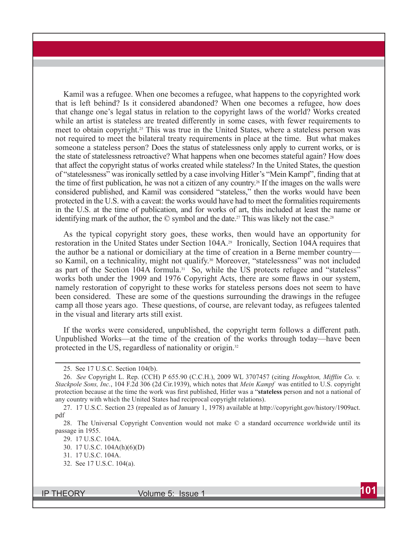**Kamil was a refugee. When one becomes a refugee, what happens to the copyrighted work that is left behind? Is it considered abandoned? When one becomes a refugee, how does that change one's legal status in relation to the copyright laws of the world? Works created**  while an artist is stateless are treated differently in some cases, with fewer requirements to **meet to obtain copyright.25 This was true in the United States, where a stateless person was not required to meet the bilateral treaty requirements in place at the time. But what makes someone a stateless person? Does the status of statelessness only apply to current works, or is the state of statelessness retroactive? What happens when one becomes stateful again? How does**  that affect the copyright status of works created while stateless? In the United States, the question of "statelessness" was ironically settled by a case involving Hitler's "Mein Kampf", finding that at the time of first publication, he was not a citizen of any country.<sup>26</sup> If the images on the walls were **considered published, and Kamil was considered "stateless," then the works would have been protected in the U.S. with a caveat: the works would have had to meet the formalities requirements in the U.S. at the time of publication, and for works of art, this included at least the name or identifying mark of the author, the © symbol and the date.27 This was likely not the case.28**

**As the typical copyright story goes, these works, then would have an opportunity for restoration in the United States under Section 104A.29 Ironically, Section 104A requires that the author be a national or domiciliary at the time of creation in a Berne member country so Kamil, on a technicality, might not qualify.30 Moreover, "statelessness" was not included as part of the Section 104A formula.31 So, while the US protects refugee and "stateless"**  works both under the 1909 and 1976 Copyright Acts, there are some flaws in our system, **namely restoration of copyright to these works for stateless persons does not seem to have been considered. These are some of the questions surrounding the drawings in the refugee camp all those years ago. These questions, of course, are relevant today, as refugees talented in the visual and literary arts still exist.** 

If the works were considered, unpublished, the copyright term follows a different path. **Unpublished Works—at the time of the creation of the works through today—have been protected in the US, regardless of nationality or origin.32**

**<sup>25.</sup> See 17 U.S.C. Section 104(b).** 

**<sup>26.</sup>** *See* **Copyright L. Rep. (CCH) P 655.90 (C.C.H.), 2009 WL 3707457 (citing** *Houghton, Miffl in Co. v. Stackpole Sons, Inc.***, 104 F.2d 306 (2d Cir.1939), which notes that** *Mein Kampf* **was entitled to U.S. copyright protection because at the time the work was first published, Hitler was a "<b>stateless** person and not a national of **any country with which the United States had reciprocal copyright relations).**

**<sup>27. 17</sup> U.S.C. Section 23 (repealed as of January 1, 1978) available at http://copyright.gov/history/1909act. pdf**

**<sup>28.</sup> The Universal Copyright Convention would not make © a standard occurrence worldwide until its passage in 1955.** 

**<sup>29. 17</sup> U.S.C. 104A.**

**<sup>30. 17</sup> U.S.C. 104A(h)(6)(D)**

**<sup>31. 17</sup> U.S.C. 104A.**

**<sup>32.</sup> See 17 U.S.C. 104(a).**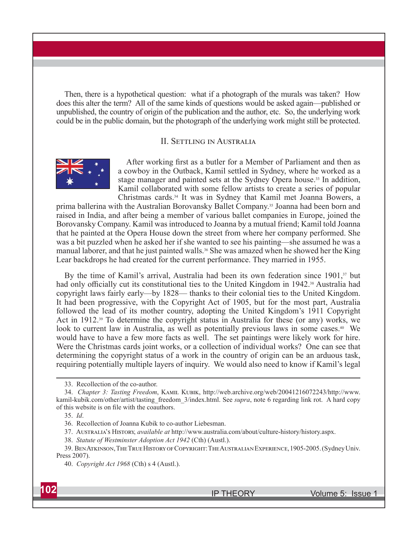**Then, there is a hypothetical question: what if a photograph of the murals was taken? How does this alter the term? All of the same kinds of questions would be asked again—published or unpublished, the country of origin of the publication and the author, etc. So, the underlying work could be in the public domain, but the photograph of the underlying work might still be protected.**

#### **II. SETTLING IN AUSTRALIA**



After working first as a butler for a Member of Parliament and then as **a cowboy in the Outback, Kamil settled in Sydney, where he worked as a stage manager and painted sets at the Sydney Opera house.33 In addition, Kamil collaborated with some fellow artists to create a series of popular Christmas cards.34 It was in Sydney that Kamil met Joanna Bowers, a** 

**prima ballerina with the Australian Borovansky Ballet Company.35 Joanna had been born and raised in India, and after being a member of various ballet companies in Europe, joined the Borovansky Company. Kamil was introduced to Joanna by a mutual friend; Kamil told Joanna that he painted at the Opera House down the street from where her company performed. She was a bit puzzled when he asked her if she wanted to see his painting—she assumed he was a manual laborer, and that he just painted walls.36 She was amazed when he showed her the King Lear backdrops he had created for the current performance. They married in 1955.** 

By the time of Kamil's arrival, Australia had been its own federation since 1901,<sup>37</sup> but had only officially cut its constitutional ties to the United Kingdom in 1942.<sup>38</sup> Australia had **copyright laws fairly early—by 1828— thanks to their colonial ties to the United Kingdom. It had been progressive, with the Copyright Act of 1905, but for the most part, Australia followed the lead of its mother country, adopting the United Kingdom's 1911 Copyright Act in 1912.39 To determine the copyright status in Australia for these (or any) works, we look to current law in Australia, as well as potentially previous laws in some cases.40 We would have to have a few more facts as well. The set paintings were likely work for hire. Were the Christmas cards joint works, or a collection of individual works? One can see that determining the copyright status of a work in the country of origin can be an arduous task, requiring potentially multiple layers of inquiry. We would also need to know if Kamil's legal** 

- **37. Aඎඌඍඋൺඅංൺ'ඌ Hංඌඍඈඋඒ,** *available at* **http://www.australia.com/about/culture-history/history.aspx.**
- **38.** *Statute of Westminster Adoption Act 1942* **(Cth) (Austl.).**

**<sup>33.</sup> Recollection of the co-author.**

<sup>34.</sup> *Chapter 3: Tasting Freedom*, KAMIL KUBIK, http://web.archive.org/web/20041216072243/http://www. **kamil-kubik.com/other/artist/tasting\_freedom\_3/index.html. See** *supra***, note 6 regarding link rot. A hard copy**  of this website is on file with the coauthors.

**<sup>35.</sup>** *Id***.**

**<sup>36.</sup> Recollection of Joanna Kubik to co-author Liebesman.**

<sup>39.</sup> BEN ATKINSON, THE TRUE HISTORY OF COPYRIGHT: THE AUSTRALIAN EXPERIENCE, 1905-2005. (Sydney Univ. **Press 2007).**

**<sup>40.</sup>** *Copyright Act 1968* **(Cth) s 4 (Austl.).**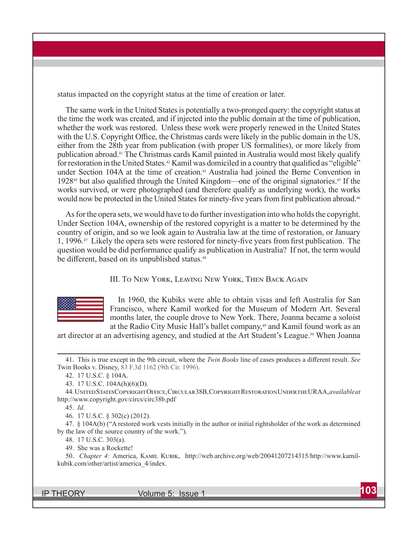**status impacted on the copyright status at the time of creation or later.**

**The same work in the United States is potentially a two-pronged query: the copyright status at the time the work was created, and if injected into the public domain at the time of publication, whether the work was restored. Unless these work were properly renewed in the United States**  with the U.S. Copyright Office, the Christmas cards were likely in the public domain in the US, **either from the 28th year from publication (with proper US formalities), or more likely from publication abroad.41 The Christmas cards Kamil painted in Australia would most likely qualify**  for restoration in the United States.<sup>42</sup> Kamil was domiciled in a country that qualified as "eligible" **under Section 104A at the time of creation.43 Australia had joined the Berne Convention in**  1928<sup>44</sup> but also qualified through the United Kingdom—one of the original signatories.<sup>45</sup> If the **works survived, or were photographed (and therefore qualify as underlying work), the works**  would now be protected in the United States for ninety-five years from first publication abroad.<sup>46</sup>

**As for the opera sets, we would have to do further investigation into who holds the copyright. Under Section 104A, ownership of the restored copyright is a matter to be determined by the country of origin, and so we look again to Australia law at the time of restoration, or January 1, 1996.**<sup>47</sup> Likely the opera sets were restored for ninety-five years from first publication. The **question would be did performance qualify as publication in Australia? If not, the term would**  be different, based on its unpublished status.<sup>48</sup>

**III. TO NEW YORK, LEAVING NEW YORK, THEN BACK AGAIN** 



**In 1960, the Kubiks were able to obtain visas and left Australia for San Francisco, where Kamil worked for the Museum of Modern Art. Several months later, the couple drove to New York. There, Joanna became a soloist**  at the Radio City Music Hall's ballet company,<sup>49</sup> and Kamil found work as an

**art director at an advertising agency, and studied at the Art Student's League.50 When Joanna** 

**45.** *Id***.**

**46. 17 U.S.C. § 302(c) (2012).**

**47. § 104A(b) ("A restored work vests initially in the author or initial rightsholder of the work as determined by the law of the source country of the work.").**

**48. 17 U.S.C. 303(a).**

**49. She was a Rockette!**

50. *Chapter 4:* America, Камп. K∪вик, http://web.archive.org/web/20041207214315/http://www.kamil**kubik.com/other/artist/america\_4/index.**

**<sup>41.</sup> This is true except in the 9th circuit, where the** *Twin Books* **line of cases produces a diff erent result.** *See*  **Twin Books v. Disney, 83 F.3d 1162 (9th Cir. 1996).**

**<sup>42. 17</sup> U.S.C. § 104A.**

**<sup>43. 17</sup> U.S.C. 104A(h)(6)(D).**

 $44.$  UNITED STATES COPYRIGHT OFFICE, CIRCULAR<sup>38</sup>B, COPYRIGHT RESTORATION UNDER THE URAA, *available at* **http://www.copyright.gov/circs/circ38b.pdf**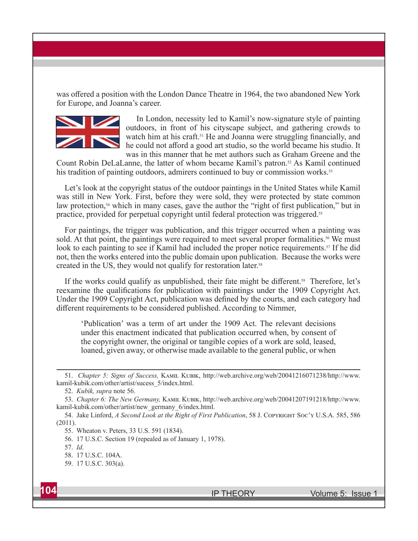was offered a position with the London Dance Theatre in 1964, the two abandoned New York **for Europe, and Joanna's career.**



 **In London, necessity led to Kamil's now-signature style of painting outdoors, in front of his cityscape subject, and gathering crowds to**  watch him at his craft.<sup>51</sup> He and Joanna were struggling financially, and he could not afford a good art studio, so the world became his studio. It **was in this manner that he met authors such as Graham Greene and the** 

**Count Robin DeLaLanne, the latter of whom became Kamil's patron. 52 As Kamil continued his tradition of painting outdoors, admirers continued to buy or commission works.53**

Let's look at the copyright status of the outdoor paintings in the United States while Kamil **was still in New York. First, before they were sold, they were protected by state common**  law protection,<sup>54</sup> which in many cases, gave the author the "right of first publication," but in **practice, provided for perpetual copyright until federal protection was triggered.55**

**For paintings, the trigger was publication, and this trigger occurred when a painting was**  sold. At that point, the paintings were required to meet several proper formalities.<sup>56</sup> We must look to each painting to see if Kamil had included the proper notice requirements.<sup>57</sup> If he did **not, then the works entered into the public domain upon publication. Because the works were created in the US, they would not qualify for restoration later. 58**

If the works could qualify as unpublished, their fate might be different.<sup>59</sup> Therefore, let's reexamine the qualifications for publication with paintings under the 1909 Copyright Act. Under the 1909 Copyright Act, publication was defined by the courts, and each category had **diff erent requirements to be considered published. According to Nimmer,**

**'Publication' was a term of art under the 1909 Act. The relevant decisions under this enactment indicated that publication occurred when, by consent of the copyright owner, the original or tangible copies of a work are sold, leased, loaned, given away, or otherwise made available to the general public, or when** 

<sup>51.</sup> *Chapter 5: Signs of Success, KAMIL KUBIK, http://web.archive.org/web/20041216071238/http://www.* **kamil-kubik.com/other/artist/sucess\_5/index.html.**

**<sup>52.</sup>** *Kubik, supra* **note 56.**

<sup>53.</sup> *Chapter 6: The New Germany, KAMIL KUBIK, http://web.archive.org/web/20041207191218/http://www.* **kamil-kubik.com/other/artist/new\_germany\_6/index.html.**

<sup>54.</sup> Jake Linford, *A Second Look at the Right of First Publication*, 58 J. COPYRIGHT SOC'Y U.S.A. 585, 586 **(2011).**

**<sup>55.</sup> Wheaton v. Peters, 33 U.S. 591 (1834).**

**<sup>56. 17</sup> U.S.C. Section 19 (repealed as of January 1, 1978).**

**<sup>57.</sup>** *Id***.**

**<sup>58. 17</sup> U.S.C. 104A.**

**<sup>59. 17</sup> U.S.C. 303(a).**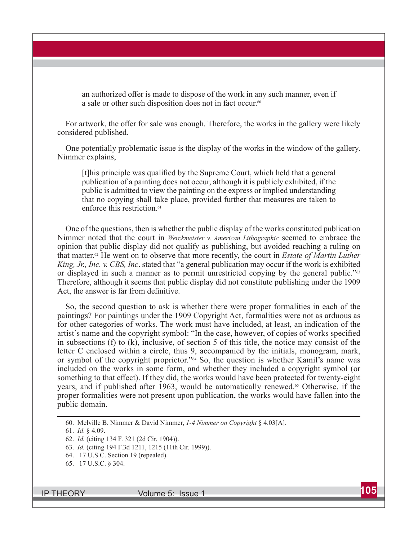an authorized offer is made to dispose of the work in any such manner, even if **a sale or other such disposition does not in fact occur.60**

For artwork, the offer for sale was enough. Therefore, the works in the gallery were likely **considered published.**

**One potentially problematic issue is the display of the works in the window of the gallery. Nimmer explains,** 

[t]his principle was qualified by the Supreme Court, which held that a general **publication of a painting does not occur, although it is publicly exhibited, if the public is admitted to view the painting on the express or implied understanding that no copying shall take place, provided further that measures are taken to enforce this restriction.61**

**One of the questions, then is whether the public display of the works constituted publication Nimmer noted that the court in** *Werckmeister v. American Lithographic* **seemed to embrace the opinion that public display did not qualify as publishing, but avoided reaching a ruling on that matter.62 He went on to observe that more recently, the court in** *Estate of Martin Luther King, Jr., Inc. v. CBS, Inc***. stated that "a general publication may occur if the work is exhibited or displayed in such a manner as to permit unrestricted copying by the general public."63 Therefore, although it seems that public display did not constitute publishing under the 1909**  Act, the answer is far from definitive.

**So, the second question to ask is whether there were proper formalities in each of the paintings? For paintings under the 1909 Copyright Act, formalities were not as arduous as for other categories of works. The work must have included, at least, an indication of the**  artist's name and the copyright symbol: "In the case, however, of copies of works specified **in subsections (f) to (k), inclusive, of section 5 of this title, the notice may consist of the letter C enclosed within a circle, thus 9, accompanied by the initials, monogram, mark, or symbol of the copyright proprietor."64 So, the question is whether Kamil's name was included on the works in some form, and whether they included a copyright symbol (or**  something to that effect). If they did, the works would have been protected for twenty-eight **years, and if published after 1963, would be automatically renewed.65 Otherwise, if the proper formalities were not present upon publication, the works would have fallen into the public domain.**

**<sup>60.</sup> Melville B. Nimmer & David Nimmer,** *1-4 Nimmer on Copyright* **§ 4.03[A].**

**<sup>61.</sup>** *Id***. § 4.09.**

**<sup>62.</sup>** *Id.* **(citing 134 F. 321 (2d Cir. 1904)).**

**<sup>63.</sup>** *Id.* **(citing 194 F.3d 1211, 1215 (11th Cir. 1999)).**

**<sup>64. 17</sup> U.S.C. Section 19 (repealed).**

**<sup>65. 17</sup> U.S.C. § 304.**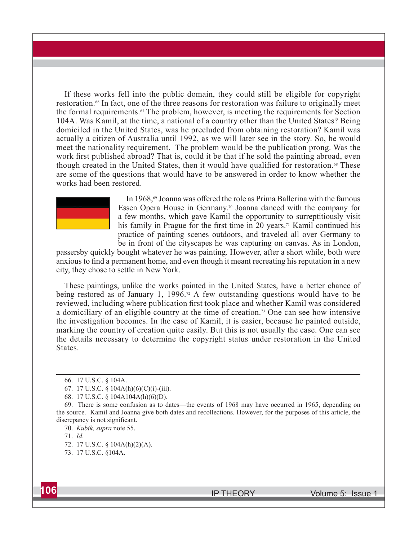**If these works fell into the public domain, they could still be eligible for copyright restoration.66 In fact, one of the three reasons for restoration was failure to originally meet the formal requirements.67 The problem, however, is meeting the requirements for Section 104A. Was Kamil, at the time, a national of a country other than the United States? Being domiciled in the United States, was he precluded from obtaining restoration? Kamil was actually a citizen of Australia until 1992, as we will later see in the story. So, he would meet the nationality requirement. The problem would be the publication prong. Was the**  work first published abroad? That is, could it be that if he sold the painting abroad, even though created in the United States, then it would have qualified for restoration.<sup>68</sup> These **are some of the questions that would have to be answered in order to know whether the works had been restored.** 



In 1968,<sup>69</sup> Joanna was offered the role as Prima Ballerina with the famous **Essen Opera House in Germany.70 Joanna danced with the company for a few months, which gave Kamil the opportunity to surreptitiously visit**  his family in Prague for the first time in 20 years.<sup>71</sup> Kamil continued his **practice of painting scenes outdoors, and traveled all over Germany to be in front of the cityscapes he was capturing on canvas. As in London,** 

**passersby quickly bought whatever he was painting. However, after a short while, both were**  anxious to find a permanent home, and even though it meant recreating his reputation in a new **city, they chose to settle in New York.** 

**These paintings, unlike the works painted in the United States, have a better chance of**  being restored as of January 1, 1996.<sup>72</sup> A few outstanding questions would have to be reviewed, including where publication first took place and whether Kamil was considered **a domiciliary of an eligible country at the time of creation.73 One can see how intensive the investigation becomes. In the case of Kamil, it is easier, because he painted outside, marking the country of creation quite easily. But this is not usually the case. One can see the details necessary to determine the copyright status under restoration in the United States.** 

**71.** *Id***.**



**<sup>66. 17</sup> U.S.C. § 104A.**

**<sup>67. 17</sup> U.S.C. § 104A(h)(6)(C)(i)-(iii).**

**<sup>68. 17</sup> U.S.C. § 104A104A(h)(6)(D).**

**<sup>69.</sup> There is some confusion as to dates—the events of 1968 may have occurred in 1965, depending on the source. Kamil and Joanna give both dates and recollections. However, for the purposes of this article, the**  discrepancy is not significant.

**<sup>70.</sup>** *Kubik, supra* **note 55.** 

**<sup>72. 17</sup> U.S.C. § 104A(h)(2)(A).**

**<sup>73. 17</sup> U.S.C. §104A.**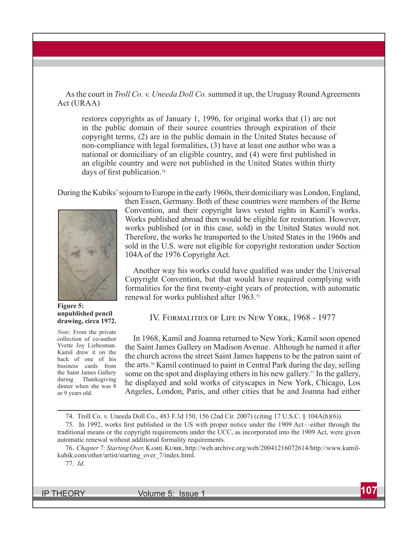**As the court in** *Troll Co. v. Uneeda Doll Co.* **summed it up, the Uruguay Round Agreements Act (URAA)** 

**restores copyrights as of January 1, 1996, for original works that (1) are not in the public domain of their source countries through expiration of their copyright terms, (2) are in the public domain in the United States because of non-compliance with legal formalities, (3) have at least one author who was a**  national or domiciliary of an eligible country, and (4) were first published in **an eligible country and were not published in the United States within thirty**  days of first publication.<sup>74</sup>

**During the Kubiks' sojourn to Europe in the early 1960s, their domiciliary was London, England,** 



**Figure 5: unpublished pencil drawing, circa 1972.**

*Note***: From the private collection of co-author Yvette Joy Liebesman. Kamil drew it on the back of one of his business cards from the Saint James Gallery during Thanksgiving dinner when she was 8 or 9 years old.**

**then Essen, Germany. Both of these countries were members of the Berne Convention, and their copyright laws vested rights in Kamil's works. Works published abroad then would be eligible for restoration. However, works published (or in this case, sold) in the United States would not. Therefore, the works he transported to the United States in the 1960s and sold in the U.S. were not eligible for copyright restoration under Section 104A of the 1976 Copyright Act.**

Another way his works could have qualified was under the Universal **Copyright Convention, but that would have required complying with**  formalities for the first twenty-eight years of protection, with automatic **renewal for works published after 1963.75**

**IV. FORMALITIES OF LIFE IN NEW YORK, 1968 - 1977** 

**In 1968, Kamil and Joanna returned to New York; Kamil soon opened the Saint James Gallery on Madison Avenue. Although he named it after the church across the street Saint James happens to be the patron saint of the arts.76 Kamil continued to paint in Central Park during the day, selling some on the spot and displaying others in his new gallery.77 In the gallery, he displayed and sold works of cityscapes in New York, Chicago, Los Angeles, London, Paris, and other cities that he and Joanna had either** 

75. In 1992, works first published in the US with proper notice under the 1909 Act—either through the **traditional means or the copyright requirements under the UCC, as incorporated into the 1909 Act, were given automatic renewal without additional formality requirements.**

76. *Chapter 7: Starting Over,* KAMIL KUBIK, http://web.archive.org/web/20041216072614/http://www.kamil**kubik.com/other/artist/starting\_over\_7/index.html.**

**<sup>74.</sup> Troll Co. v. Uneeda Doll Co., 483 F.3d 150, 156 (2nd Cir. 2007) (citing 17 U.S.C. § 104A(h)(6)).**

**<sup>77.</sup>** *Id***.**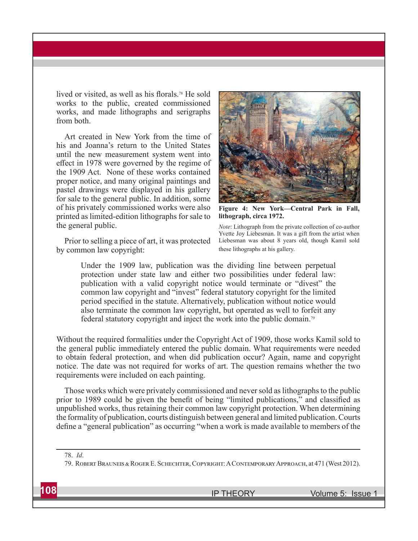lived or visited, as well as his florals.<sup>78</sup> He sold **works to the public, created commissioned works, and made lithographs and serigraphs from both.**

**Art created in New York from the time of his and Joanna's return to the United States until the new measurement system went into**  effect in 1978 were governed by the regime of **the 1909 Act. None of these works contained proper notice, and many original paintings and pastel drawings were displayed in his gallery for sale to the general public. In addition, some of his privately commissioned works were also printed as limited-edition lithographs for sale to the general public.** 

**Prior to selling a piece of art, it was protected by common law copyright:**



**Figure 4: New York—Central Park in Fall, lithograph, circa 1972.** 

*Note***: Lithograph from the private collection of co-author Yvette Joy Liebesman. It was a gift from the artist when Liebesman was about 8 years old, though Kamil sold these lithographs at his gallery.**

**Under the 1909 law, publication was the dividing line between perpetual protection under state law and either two possibilities under federal law: publication with a valid copyright notice would terminate or "divest" the common law copyright and "invest" federal statutory copyright for the limited**  period specified in the statute. Alternatively, publication without notice would **also terminate the common law copyright, but operated as well to forfeit any federal statutory copyright and inject the work into the public domain.79**

**Without the required formalities under the Copyright Act of 1909, those works Kamil sold to the general public immediately entered the public domain. What requirements were needed to obtain federal protection, and when did publication occur? Again, name and copyright notice. The date was not required for works of art. The question remains whether the two requirements were included on each painting.** 

**Those works which were privately commissioned and never sold as lithographs to the public**  prior to 1989 could be given the benefit of being "limited publications," and classified as **unpublished works, thus retaining their common law copyright protection. When determining the formality of publication, courts distinguish between general and limited publication. Courts**  define a "general publication" as occurring "when a work is made available to members of the

**<sup>78.</sup>** *Id***.**

<sup>79.</sup> ROBERT BRAUNEIS & ROGER E. SCHECHTER, COPYRIGHT: A CONTEMPORARY APPROACH, at 471 (West 2012).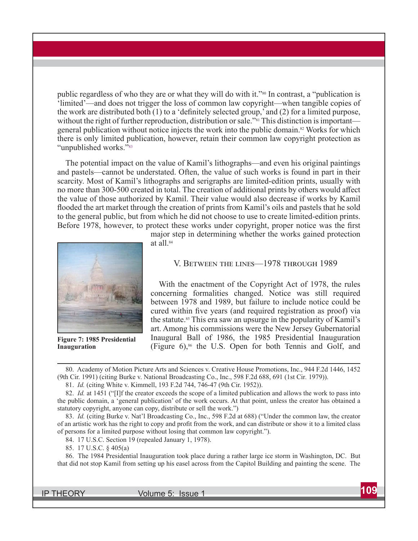**public regardless of who they are or what they will do with it."80 In contrast, a "publication is 'limited'—and does not trigger the loss of common law copyright—when tangible copies of**  the work are distributed both (1) to a 'definitely selected group,' and (2) for a limited purpose, **without the right of further reproduction, distribution or sale."81 This distinction is important general publication without notice injects the work into the public domain.82 Works for which there is only limited publication, however, retain their common law copyright protection as "unpublished works."83**

**The potential impact on the value of Kamil's lithographs—and even his original paintings and pastels—cannot be understated. Often, the value of such works is found in part in their scarcity. Most of Kamil's lithographs and serigraphs are limited-edition prints, usually with**  no more than 300-500 created in total. The creation of additional prints by others would affect **the value of those authorized by Kamil. Their value would also decrease if works by Kamil fl ooded the art market through the creation of prints from Kamil's oils and pastels that he sold to the general public, but from which he did not choose to use to create limited-edition prints.**  Before 1978, however, to protect these works under copyright, proper notice was the first



**Figure 7: 1985 Presidential Inauguration**

**major step in determining whether the works gained protection at all.84**

#### V. BETWEEN THE LINES-1978 THROUGH 1989

**With the enactment of the Copyright Act of 1978, the rules concerning formalities changed. Notice was still required between 1978 and 1989, but failure to include notice could be**  cured within five years (and required registration as proof) via **the statute.85 This era saw an upsurge in the popularity of Kamil's art. Among his commissions were the New Jersey Gubernatorial Inaugural Ball of 1986, the 1985 Presidential Inauguration (Figure 6),86 the U.S. Open for both Tennis and Golf, and** 

**80. Academy of Motion Picture Arts and Sciences v. Creative House Promotions, Inc., 944 F.2d 1446, 1452 (9th Cir. 1991) (citing Burke v. National Broadcasting Co., Inc., 598 F.2d 688, 691 (1st Cir***.* **1979)).**

**81.** *Id.* **(citing White v. Kimmell, 193 F.2d 744, 746-47 (9th Cir. 1952)).**

**82.** *Id.* **at 1451 ("[I]f the creator exceeds the scope of a limited publication and allows the work to pass into the public domain, a 'general publication' of the work occurs. At that point, unless the creator has obtained a statutory copyright, anyone can copy, distribute or sell the work.")**

**83.** *Id.* **(citing Burke v. Nat'l Broadcasting Co., Inc., 598 F.2d at 688) ("Under the common law, the creator of an artistic work has the right to copy and profi t from the work, and can distribute or show it to a limited class of persons for a limited purpose without losing that common law copyright.").**

**84. 17 U.S.C. Section 19 (repealed January 1, 1978).** 

**85. 17 U.S.C. § 405(a)**

**86. The 1984 Presidential Inauguration took place during a rather large ice storm in Washington, DC. But that did not stop Kamil from setting up his easel across from the Capitol Building and painting the scene. The**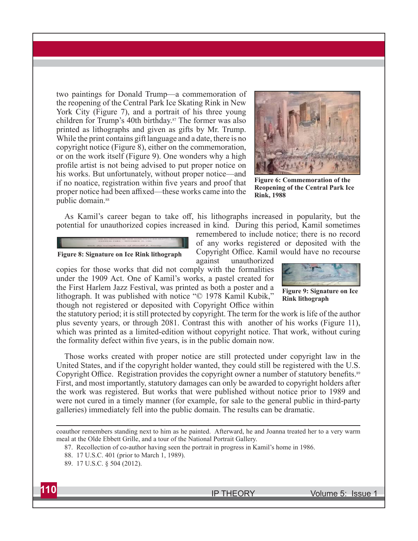**two paintings for Donald Trump—a commemoration of the reopening of the Central Park Ice Skating Rink in New York City (Figure 7), and a portrait of his three young children for Trump's 40th birthday.87 The former was also printed as lithographs and given as gifts by Mr. Trump. While the print contains gift language and a date, there is no copyright notice (Figure 8), either on the commemoration, or on the work itself (Figure 9). One wonders why a high**  profile artist is not being advised to put proper notice on **his works. But unfortunately, without proper notice—and**  if no noatice, registration within five years and proof that proper notice had been affixed—these works came into the **public domain.88**

**the First Harlem Jazz Festival, was printed as both a poster and a lithograph. It was published with notice "© 1978 Kamil Kubik,"** 



**Figure 6: Commemoration of the Reopening of the Central Park Ice Rink, 1988**

As Kamil's career began to take off, his lithographs increased in popularity, but the **potential for unauthorized copies increased in kind. During this period, Kamil sometimes** 



**remembered to include notice; there is no record of any works registered or deposited with the**  Copyright Office. Kamil would have no recourse

**Figure 8: Signature on Ice Rink lithograph**

**against unauthorized copies for those works that did not comply with the formalities under the 1909 Act. One of Kamil's works, a pastel created for** 



**Figure 9: Signature on Ice Rink lithograph**

though not registered or deposited with Copyright Office within **the statutory period; it is still protected by copyright. The term for the work is life of the author plus seventy years, or through 2081. Contrast this with another of his works (Figure 11), which was printed as a limited-edition without copyright notice. That work, without curing**  the formality defect within five years, is in the public domain now.

**Those works created with proper notice are still protected under copyright law in the United States, and if the copyright holder wanted, they could still be registered with the U.S.**  Copyright Office. Registration provides the copyright owner a number of statutory benefits.<sup>89</sup> **First, and most importantly, statutory damages can only be awarded to copyright holders after the work was registered. But works that were published without notice prior to 1989 and were not cured in a timely manner (for example, for sale to the general public in third-party galleries) immediately fell into the public domain. The results can be dramatic.**

**coauthor remembers standing next to him as he painted. Afterward, he and Joanna treated her to a very warm meal at the Olde Ebbett Grille, and a tour of the National Portrait Gallery.**

**87. Recollection of co-author having seen the portrait in progress in Kamil's home in 1986.**

**<sup>89. 17</sup> U.S.C. § 504 (2012).** 



**<sup>88. 17</sup> U.S.C. 401 (prior to March 1, 1989).**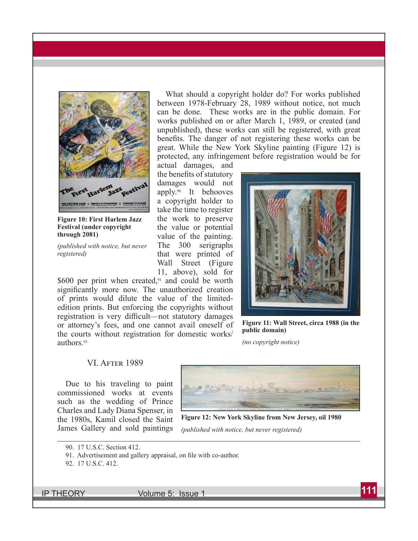

**Figure 10: First Harlem Jazz Festival (under copyright through 2081)**

*(published with notice, but never registered)*

\$600 per print when created,<sup>91</sup> and could be worth significantly more now. The unauthorized creation **of prints would dilute the value of the limitededition prints. But enforcing the copyrights without**  registration is very difficult—not statutory damages **or attorney's fees, and one cannot avail oneself of the courts without registration for domestic works/ authors.92**

## **What should a copyright holder do? For works published between 1978-February 28, 1989 without notice, not much can be done. These works are in the public domain. For works published on or after March 1, 1989, or created (and unpublished), these works can still be registered, with great**  benefits. The danger of not registering these works can be **great. While the New York Skyline painting (Figure 12) is protected, any infringement before registration would be for**

**actual damages, and**  the benefits of statutory **damages would not apply.90 It behooves a copyright holder to take the time to register the work to preserve the value or potential value of the painting. The 300 serigraphs that were printed of Wall Street (Figure 11, above), sold for** 



**Figure 11: Wall Street, circa 1988 (in the public domain)**

*(no copyright notice)*

#### **VI. AFTER 1989**

**Due to his traveling to paint commissioned works at events such as the wedding of Prince Charles and Lady Diana Spenser, in the 1980s, Kamil closed the Saint James Gallery and sold paintings** 



**Figure 12: New York Skyline from New Jersey, oil 1980**

*(published with notice, but never registered)*

**<sup>92. 17</sup> U.S.C. 412.**



**<sup>90. 17</sup> U.S.C. Section 412.**

<sup>91.</sup> Advertisement and gallery appraisal, on file with co-author.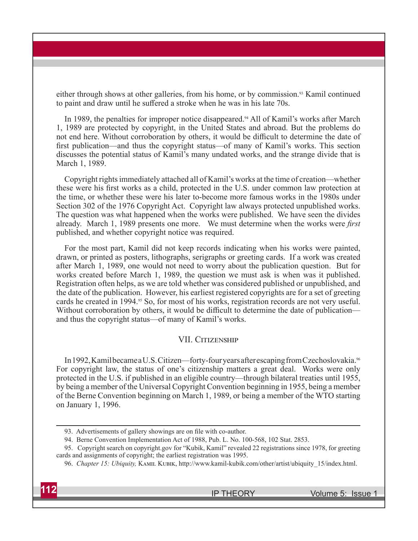**either through shows at other galleries, from his home, or by commission.93 Kamil continued**  to paint and draw until he suffered a stroke when he was in his late 70s.

**In 1989, the penalties for improper notice disappeared.94 All of Kamil's works after March 1, 1989 are protected by copyright, in the United States and abroad. But the problems do**  not end here. Without corroboration by others, it would be difficult to determine the date of first publication—and thus the copyright status—of many of Kamil's works. This section **discusses the potential status of Kamil's many undated works, and the strange divide that is March 1, 1989.** 

**Copyright rights immediately attached all of Kamil's works at the time of creation—whether**  these were his first works as a child, protected in the U.S. under common law protection at **the time, or whether these were his later to-become more famous works in the 1980s under Section 302 of the 1976 Copyright Act. Copyright law always protected unpublished works. The question was what happened when the works were published. We have seen the divides**  already. March 1, 1989 presents one more. We must determine when the works were *first* **published, and whether copyright notice was required.** 

**For the most part, Kamil did not keep records indicating when his works were painted, drawn, or printed as posters, lithographs, serigraphs or greeting cards. If a work was created after March 1, 1989, one would not need to worry about the publication question. But for works created before March 1, 1989, the question we must ask is when was it published. Registration often helps, as we are told whether was considered published or unpublished, and the date of the publication. However, his earliest registered copyrights are for a set of greeting**  cards he created in 1994.<sup>95</sup> So, for most of his works, registration records are not very useful. Without corroboration by others, it would be difficult to determine the date of publication **and thus the copyright status—of many of Kamil's works.**

#### **VII. CITIZENSHIP**

**In 1992, Kamil became a U.S. Citizen—forty-four years after escaping from Czechoslovakia.96 For copyright law, the status of one's citizenship matters a great deal. Works were only protected in the U.S. if published in an eligible country—through bilateral treaties until 1955, by being a member of the Universal Copyright Convention beginning in 1955, being a member of the Berne Convention beginning on March 1, 1989, or being a member of the WTO starting on January 1, 1996.** 

<sup>96.</sup> *Chapter 15: Ubiquity, KAMIL KUBIK, http://www.kamil-kubik.com/other/artist/ubiquity 15/index.html.* 



<sup>93.</sup> Advertisements of gallery showings are on file with co-author.

**<sup>94.</sup> Berne Convention Implementation Act of 1988, Pub. L. No. 100-568, 102 Stat. 2853.**

**<sup>95.</sup> Copyright search on copyright.gov for "Kubik, Kamil" revealed 22 registrations since 1978, for greeting cards and assignments of copyright; the earliest registration was 1995.**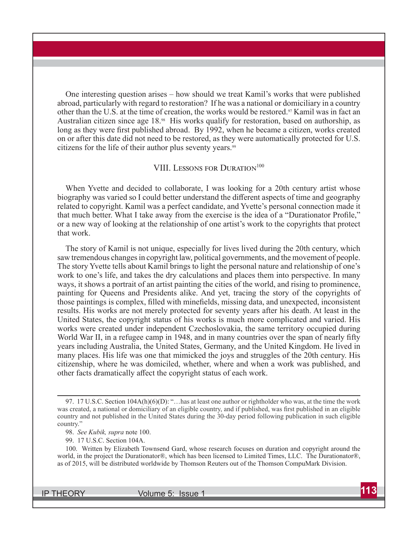**One interesting question arises – how should we treat Kamil's works that were published abroad, particularly with regard to restoration? If he was a national or domiciliary in a country other than the U.S. at the time of creation, the works would be restored.97 Kamil was in fact an Australian citizen since age 18.98 His works qualify for restoration, based on authorship, as**  long as they were first published abroad. By 1992, when he became a citizen, works created **on or after this date did not need to be restored, as they were automatically protected for U.S. citizens for the life of their author plus seventy years.99**

#### **VIII. LESSONS FOR DURATION**<sup>100</sup>

**When Yvette and decided to collaborate, I was looking for a 20th century artist whose**  biography was varied so I could better understand the different aspects of time and geography **related to copyright. Kamil was a perfect candidate, and Yvette's personal connection made it**  that much better. What I take away from the exercise is the idea of a "Durationator Profile," **or a new way of looking at the relationship of one artist's work to the copyrights that protect that work.** 

**The story of Kamil is not unique, especially for lives lived during the 20th century, which saw tremendous changes in copyright law, political governments, and the movement of people. The story Yvette tells about Kamil brings to light the personal nature and relationship of one's work to one's life, and takes the dry calculations and places them into perspective. In many ways, it shows a portrait of an artist painting the cities of the world, and rising to prominence, painting for Queens and Presidents alike. And yet, tracing the story of the copyrights of**  those paintings is complex, filled with minefields, missing data, and unexpected, inconsistent **results. His works are not merely protected for seventy years after his death. At least in the United States, the copyright status of his works is much more complicated and varied. His works were created under independent Czechoslovakia, the same territory occupied during**  World War II, in a refugee camp in 1948, and in many countries over the span of nearly fifty **years including Australia, the United States, Germany, and the United Kingdom. He lived in many places. His life was one that mimicked the joys and struggles of the 20th century. His citizenship, where he was domiciled, whether, where and when a work was published, and**  other facts dramatically affect the copyright status of each work.

**<sup>97. 17</sup> U.S.C. Section 104A(h)(6)(D): "…has at least one author or rightholder who was, at the time the work**  was created, a national or domiciliary of an eligible country, and if published, was first published in an eligible **country and not published in the United States during the 30-day period following publication in such eligible country."**

**<sup>98.</sup>** *See Kubik, supra* **note 100.**

**<sup>99. 17</sup> U.S.C. Section 104A.**

**<sup>100.</sup> Written by Elizabeth Townsend Gard, whose research focuses on duration and copyright around the world, in the project the Durationator®, which has been licensed to Limited Times, LLC. The Durationator®, as of 2015, will be distributed worldwide by Thomson Reuters out of the Thomson CompuMark Division.**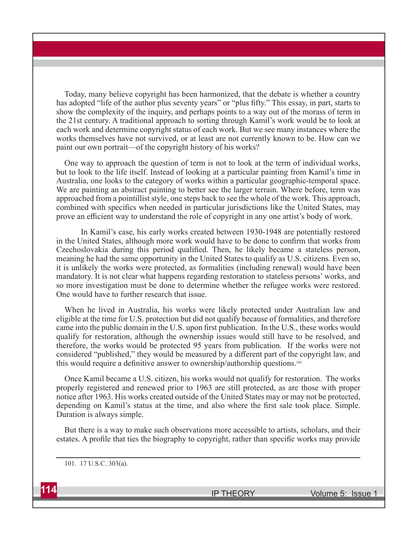**Today, many believe copyright has been harmonized, that the debate is whether a country**  has adopted "life of the author plus seventy years" or "plus fifty." This essay, in part, starts to **show the complexity of the inquiry, and perhaps points to a way out of the morass of term in the 21st century. A traditional approach to sorting through Kamil's work would be to look at each work and determine copyright status of each work. But we see many instances where the works themselves have not survived, or at least are not currently known to be. How can we paint our own portrait—of the copyright history of his works?** 

**One way to approach the question of term is not to look at the term of individual works, but to look to the life itself. Instead of looking at a particular painting from Kamil's time in Australia, one looks to the category of works within a particular geographic-temporal space. We are painting an abstract painting to better see the larger terrain. Where before, term was approached from a pointillist style, one steps back to see the whole of the work. This approach,**  combined with specifics when needed in particular jurisdictions like the United States, may prove an efficient way to understand the role of copyright in any one artist's body of work.

 **In Kamil's case, his early works created between 1930-1948 are potentially restored**  in the United States, although more work would have to be done to confirm that works from Czechoslovakia during this period qualified. Then, he likely became a stateless person, **meaning he had the same opportunity in the United States to qualify as U.S. citizens. Even so, it is unlikely the works were protected, as formalities (including renewal) would have been mandatory. It is not clear what happens regarding restoration to stateless persons' works, and so more investigation must be done to determine whether the refugee works were restored. One would have to further research that issue.** 

**When he lived in Australia, his works were likely protected under Australian law and eligible at the time for U.S. protection but did not qualify because of formalities, and therefore**  came into the public domain in the U.S. upon first publication. In the U.S., these works would **qualify for restoration, although the ownership issues would still have to be resolved, and therefore, the works would be protected 95 years from publication. If the works were not**  considered "published," they would be measured by a different part of the copyright law, and this would require a definitive answer to ownership/authorship questions.<sup>101</sup>

**Once Kamil became a U.S. citizen, his works would not qualify for restoration. The works properly registered and renewed prior to 1963 are still protected, as are those with proper notice after 1963. His works created outside of the United States may or may not be protected,**  depending on Kamil's status at the time, and also where the first sale took place. Simple. **Duration is always simple.** 

**But there is a way to make such observations more accessible to artists, scholars, and their**  estates. A profile that ties the biography to copyright, rather than specific works may provide

**<sup>101. 17</sup> U.S.C. 303(a).**